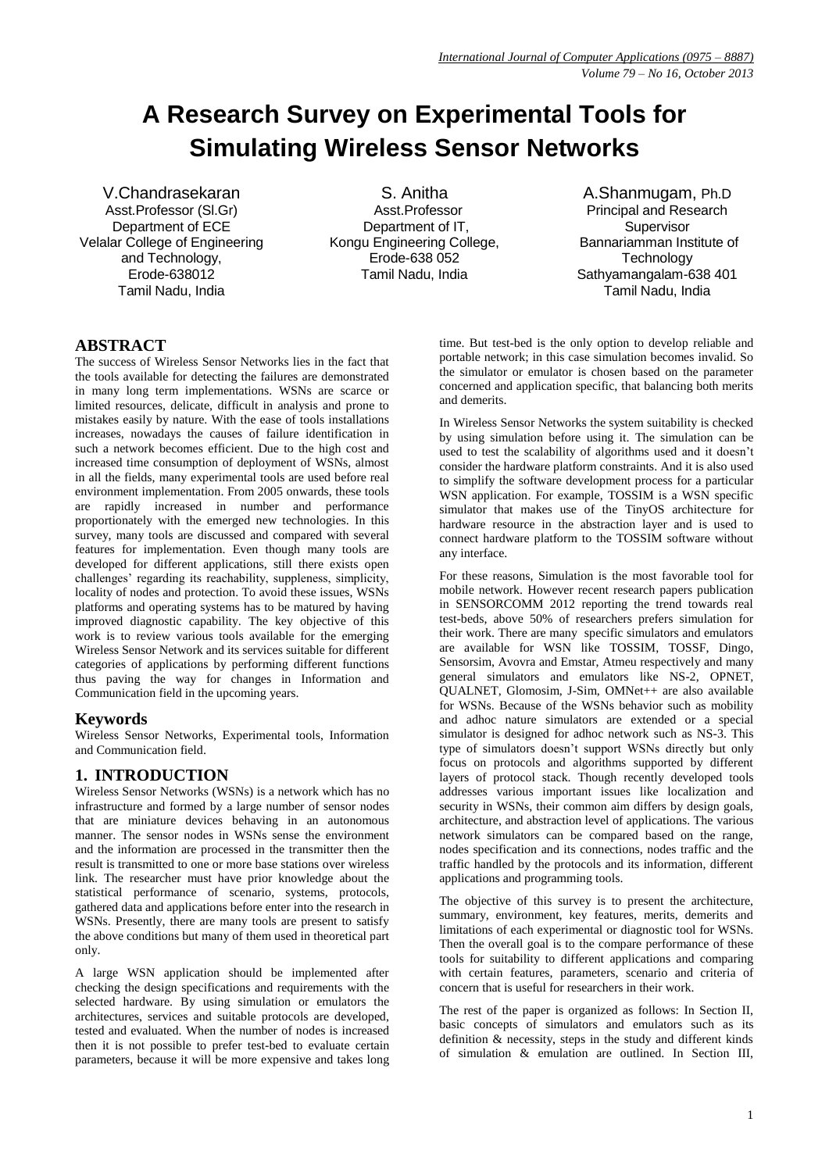# **A Research Survey on Experimental Tools for Simulating Wireless Sensor Networks**

V.Chandrasekaran Asst.Professor (Sl.Gr) Department of ECE Velalar College of Engineering and Technology, Erode-638012 Tamil Nadu, India

S. Anitha Asst.Professor Department of IT, Kongu Engineering College, Erode-638 052 Tamil Nadu, India

A.Shanmugam, Ph.D Principal and Research **Supervisor** Bannariamman Institute of **Technology** Sathyamangalam-638 401 Tamil Nadu, India

# **ABSTRACT**

The success of Wireless Sensor Networks lies in the fact that the tools available for detecting the failures are demonstrated in many long term implementations. WSNs are scarce or limited resources, delicate, difficult in analysis and prone to mistakes easily by nature. With the ease of tools installations increases, nowadays the causes of failure identification in such a network becomes efficient. Due to the high cost and increased time consumption of deployment of WSNs, almost in all the fields, many experimental tools are used before real environment implementation. From 2005 onwards, these tools are rapidly increased in number and performance proportionately with the emerged new technologies. In this survey, many tools are discussed and compared with several features for implementation. Even though many tools are developed for different applications, still there exists open challenges' regarding its reachability, suppleness, simplicity, locality of nodes and protection. To avoid these issues, WSNs platforms and operating systems has to be matured by having improved diagnostic capability. The key objective of this work is to review various tools available for the emerging Wireless Sensor Network and its services suitable for different categories of applications by performing different functions thus paving the way for changes in Information and Communication field in the upcoming years.

# **Keywords**

Wireless Sensor Networks, Experimental tools, Information and Communication field.

# **1. INTRODUCTION**

Wireless Sensor Networks (WSNs) is a network which has no infrastructure and formed by a large number of sensor nodes that are miniature devices behaving in an autonomous manner. The sensor nodes in WSNs sense the environment and the information are processed in the transmitter then the result is transmitted to one or more base stations over wireless link. The researcher must have prior knowledge about the statistical performance of scenario, systems, protocols, gathered data and applications before enter into the research in WSNs. Presently, there are many tools are present to satisfy the above conditions but many of them used in theoretical part only.

A large WSN application should be implemented after checking the design specifications and requirements with the selected hardware. By using simulation or emulators the architectures, services and suitable protocols are developed, tested and evaluated. When the number of nodes is increased then it is not possible to prefer test-bed to evaluate certain parameters, because it will be more expensive and takes long time. But test-bed is the only option to develop reliable and portable network; in this case simulation becomes invalid. So the simulator or emulator is chosen based on the parameter concerned and application specific, that balancing both merits and demerits.

In Wireless Sensor Networks the system suitability is checked by using simulation before using it. The simulation can be used to test the scalability of algorithms used and it doesn't consider the hardware platform constraints. And it is also used to simplify the software development process for a particular WSN application. For example, TOSSIM is a WSN specific simulator that makes use of the TinyOS architecture for hardware resource in the abstraction layer and is used to connect hardware platform to the TOSSIM software without any interface.

For these reasons, Simulation is the most favorable tool for mobile network. However recent research papers publication in SENSORCOMM 2012 reporting the trend towards real test-beds, above 50% of researchers prefers simulation for their work. There are many specific simulators and emulators are available for WSN like TOSSIM, TOSSF, Dingo, Sensorsim, Avovra and Emstar, Atmeu respectively and many general simulators and emulators like NS-2, OPNET, QUALNET, Glomosim, J-Sim, OMNet++ are also available for WSNs. Because of the WSNs behavior such as mobility and adhoc nature simulators are extended or a special simulator is designed for adhoc network such as NS-3. This type of simulators doesn't support WSNs directly but only focus on protocols and algorithms supported by different layers of protocol stack. Though recently developed tools addresses various important issues like localization and security in WSNs, their common aim differs by design goals, architecture, and abstraction level of applications. The various network simulators can be compared based on the range, nodes specification and its connections, nodes traffic and the traffic handled by the protocols and its information, different applications and programming tools.

The objective of this survey is to present the architecture, summary, environment, key features, merits, demerits and limitations of each experimental or diagnostic tool for WSNs. Then the overall goal is to the compare performance of these tools for suitability to different applications and comparing with certain features, parameters, scenario and criteria of concern that is useful for researchers in their work.

The rest of the paper is organized as follows: In Section II, basic concepts of simulators and emulators such as its definition & necessity, steps in the study and different kinds of simulation & emulation are outlined. In Section III,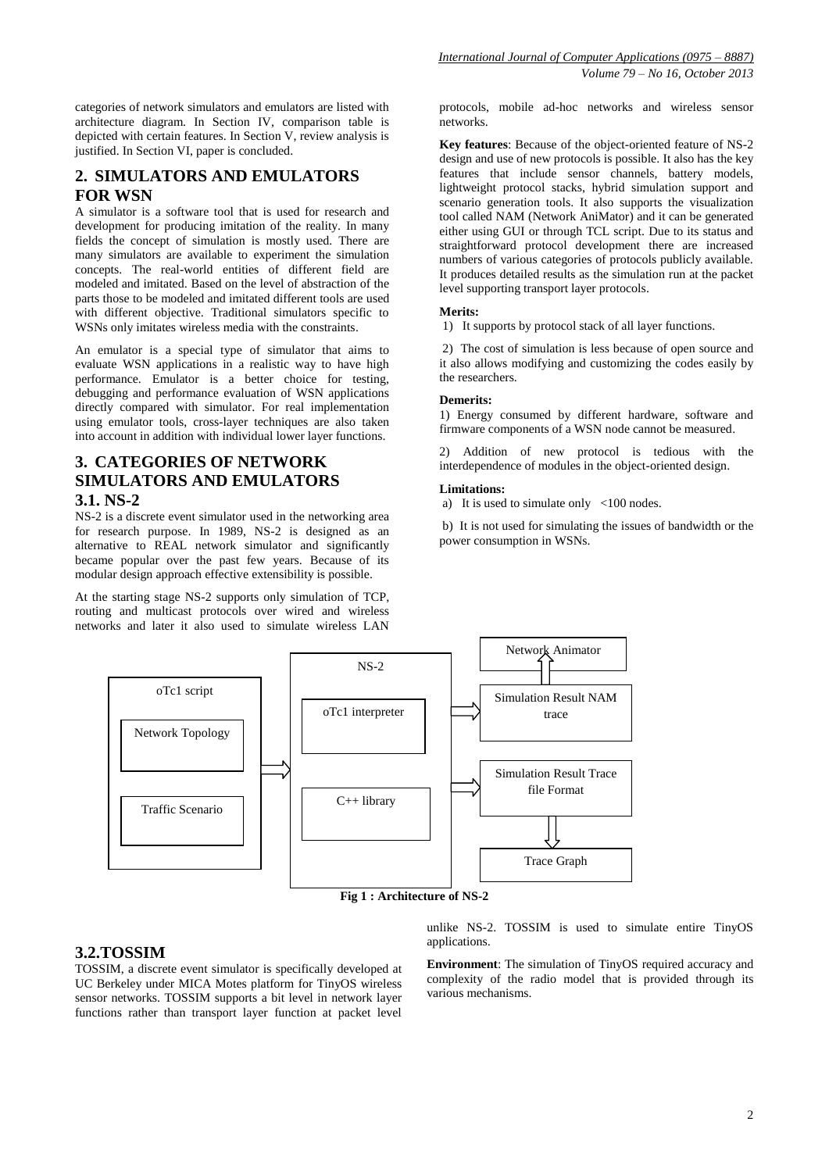categories of network simulators and emulators are listed with architecture diagram. In Section IV, comparison table is depicted with certain features. In Section V, review analysis is justified. In Section VI, paper is concluded.

# **2. SIMULATORS AND EMULATORS FOR WSN**

A simulator is a software tool that is used for research and development for producing imitation of the reality. In many fields the concept of simulation is mostly used. There are many simulators are available to experiment the simulation concepts. The real-world entities of different field are modeled and imitated. Based on the level of abstraction of the parts those to be modeled and imitated different tools are used with different objective. Traditional simulators specific to WSNs only imitates wireless media with the constraints.

An emulator is a special type of simulator that aims to evaluate WSN applications in a realistic way to have high performance. Emulator is a better choice for testing, debugging and performance evaluation of WSN applications directly compared with simulator. For real implementation using emulator tools, cross-layer techniques are also taken into account in addition with individual lower layer functions.

# **3. CATEGORIES OF NETWORK SIMULATORS AND EMULATORS 3.1. NS-2**

NS-2 is a discrete event simulator used in the networking area for research purpose. In 1989, NS-2 is designed as an alternative to REAL network simulator and significantly became popular over the past few years. Because of its modular design approach effective extensibility is possible.

At the starting stage NS-2 supports only simulation of TCP, routing and multicast protocols over wired and wireless networks and later it also used to simulate wireless LAN

protocols, mobile ad-hoc networks and wireless sensor networks.

**Key features**: Because of the object-oriented feature of NS-2 design and use of new protocols is possible. It also has the key features that include sensor channels, battery models, lightweight protocol stacks, hybrid simulation support and scenario generation tools. It also supports the visualization tool called NAM (Network AniMator) and it can be generated either using GUI or through TCL script. Due to its status and straightforward protocol development there are increased numbers of various categories of protocols publicly available. It produces detailed results as the simulation run at the packet level supporting transport layer protocols.

#### **Merits:**

1) It supports by protocol stack of all layer functions.

2) The cost of simulation is less because of open source and it also allows modifying and customizing the codes easily by the researchers.

#### **Demerits:**

1) Energy consumed by different hardware, software and firmware components of a WSN node cannot be measured.

2) Addition of new protocol is tedious with the interdependence of modules in the object-oriented design.

#### **Limitations:**

a) It is used to simulate only <100 nodes.

b) It is not used for simulating the issues of bandwidth or the power consumption in WSNs.



**Fig 1 : Architecture of NS-2**

# **3.2.TOSSIM**

TOSSIM, a discrete event simulator is specifically developed at UC Berkeley under MICA Motes platform for TinyOS wireless sensor networks. TOSSIM supports a bit level in network layer functions rather than transport layer function at packet level

unlike NS-2. TOSSIM is used to simulate entire TinyOS applications.

**Environment**: The simulation of TinyOS required accuracy and complexity of the radio model that is provided through its various mechanisms.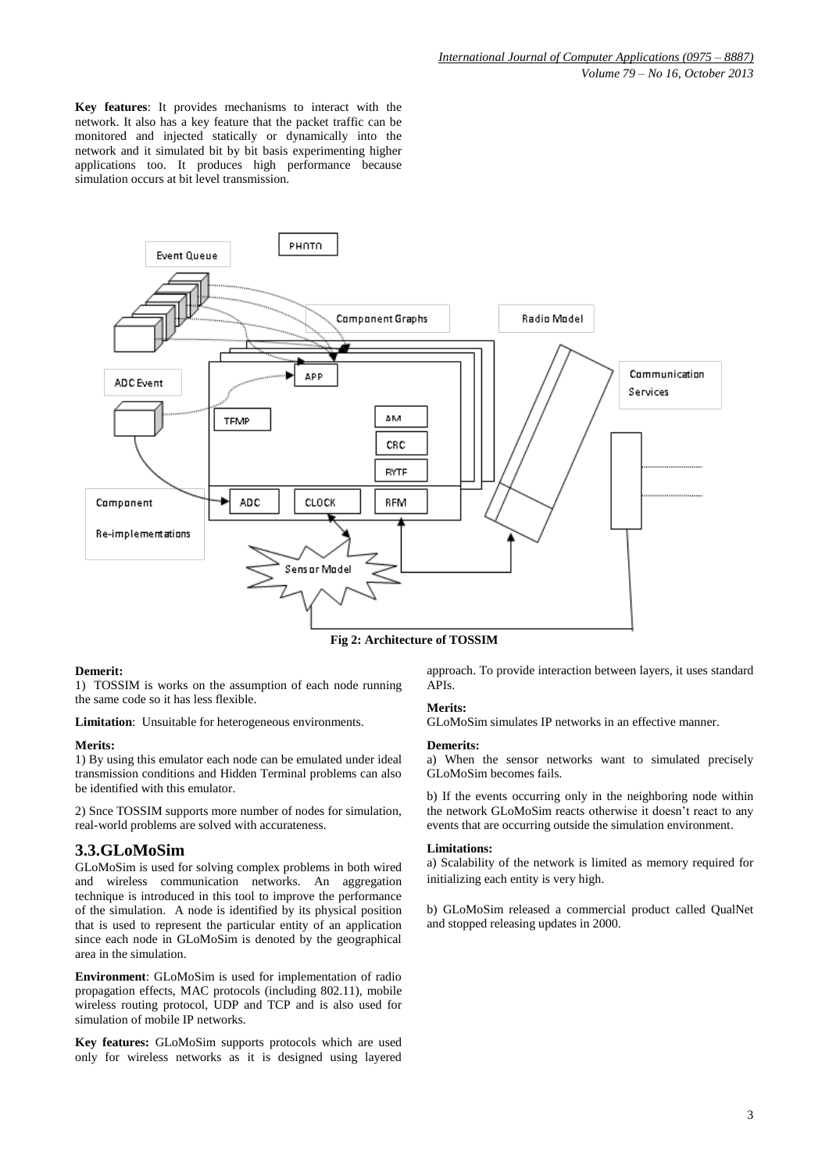**Key features**: It provides mechanisms to interact with the network. It also has a key feature that the packet traffic can be monitored and injected statically or dynamically into the network and it simulated bit by bit basis experimenting higher applications too. It produces high performance because simulation occurs at bit level transmission.



**Fig 2: Architecture of TOSSIM**

## **Demerit:**

1) TOSSIM is works on the assumption of each node running the same code so it has less flexible.

**Limitation**: Unsuitable for heterogeneous environments.

#### **Merits:**

1) By using this emulator each node can be emulated under ideal transmission conditions and Hidden Terminal problems can also be identified with this emulator.

2) Snce TOSSIM supports more number of nodes for simulation, real-world problems are solved with accurateness.

# **3.3.GLoMoSim**

GLoMoSim is used for solving complex problems in both wired and wireless communication networks. An aggregation technique is introduced in this tool to improve the performance of the simulation. A node is identified by its physical position that is used to represent the particular entity of an application since each node in GLoMoSim is denoted by the geographical area in the simulation.

**Environment**: GLoMoSim is used for implementation of radio propagation effects, MAC protocols (including 802.11), mobile wireless routing protocol, UDP and TCP and is also used for simulation of mobile IP networks.

**Key features:** GLoMoSim supports protocols which are used only for wireless networks as it is designed using layered approach. To provide interaction between layers, it uses standard APIs.

## **Merits:**

GLoMoSim simulates IP networks in an effective manner.

#### **Demerits:**

a) When the sensor networks want to simulated precisely GLoMoSim becomes fails.

b) If the events occurring only in the neighboring node within the network GLoMoSim reacts otherwise it doesn't react to any events that are occurring outside the simulation environment.

#### **Limitations:**

a) Scalability of the network is limited as memory required for initializing each entity is very high.

b) GLoMoSim released a commercial product called QualNet and stopped releasing updates in 2000.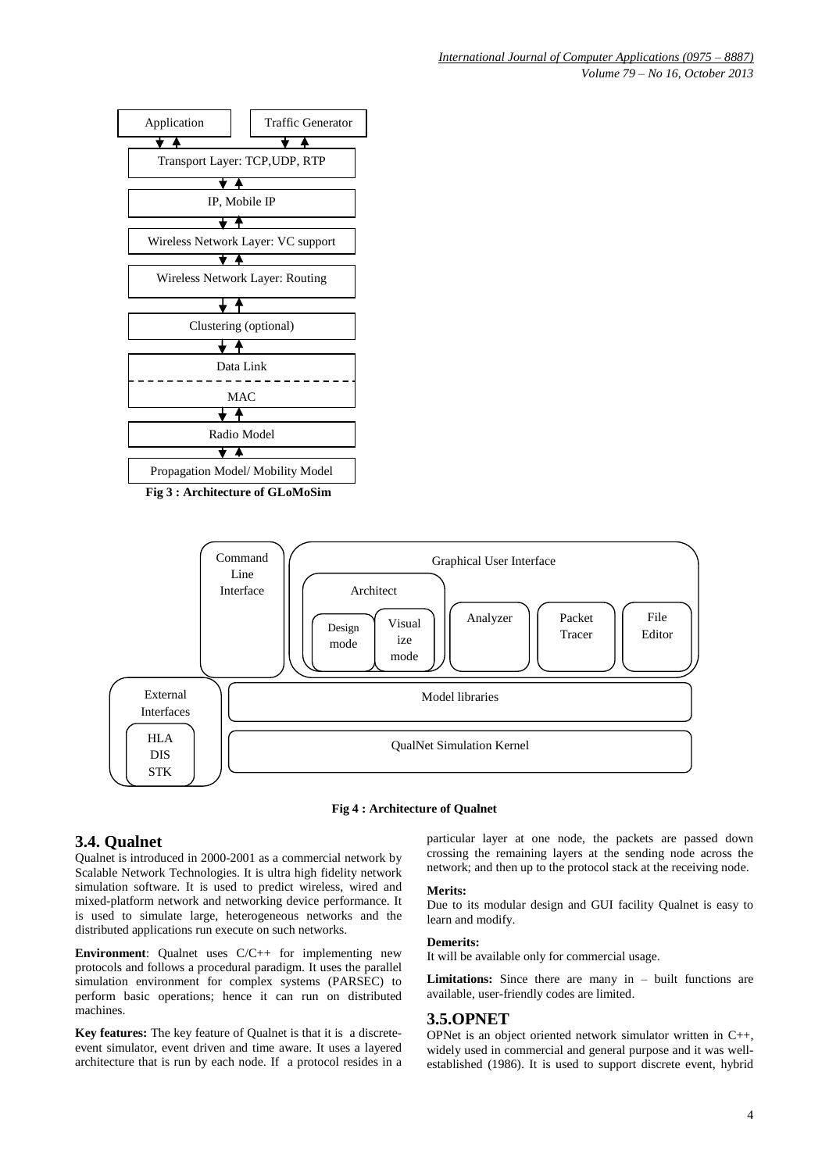





# **3.4. Qualnet**

Qualnet is introduced in 2000-2001 as a commercial network by Scalable Network Technologies. It is ultra high fidelity network simulation software. It is used to predict wireless, wired and mixed-platform network and networking device performance. It is used to simulate large, heterogeneous networks and the distributed applications run execute on such networks.

**Environment**: Qualnet uses  $C/C++$  for implementing new protocols and follows a procedural paradigm. It uses the parallel simulation environment for complex systems (PARSEC) to perform basic operations; hence it can run on distributed machines.

**Key features:** The key feature of Qualnet is that it is a discreteevent simulator, event driven and time aware. It uses a layered architecture that is run by each node. If a protocol resides in a particular layer at one node, the packets are passed down crossing the remaining layers at the sending node across the network; and then up to the protocol stack at the receiving node.

### **Merits:**

Due to its modular design and GUI facility Qualnet is easy to learn and modify.

#### **Demerits:**

It will be available only for commercial usage.

**Limitations:** Since there are many in – built functions are available, user-friendly codes are limited.

## **3.5.OPNET**

OPNet is an object oriented network simulator written in C++, widely used in commercial and general purpose and it was wellestablished (1986). It is used to support discrete event, hybrid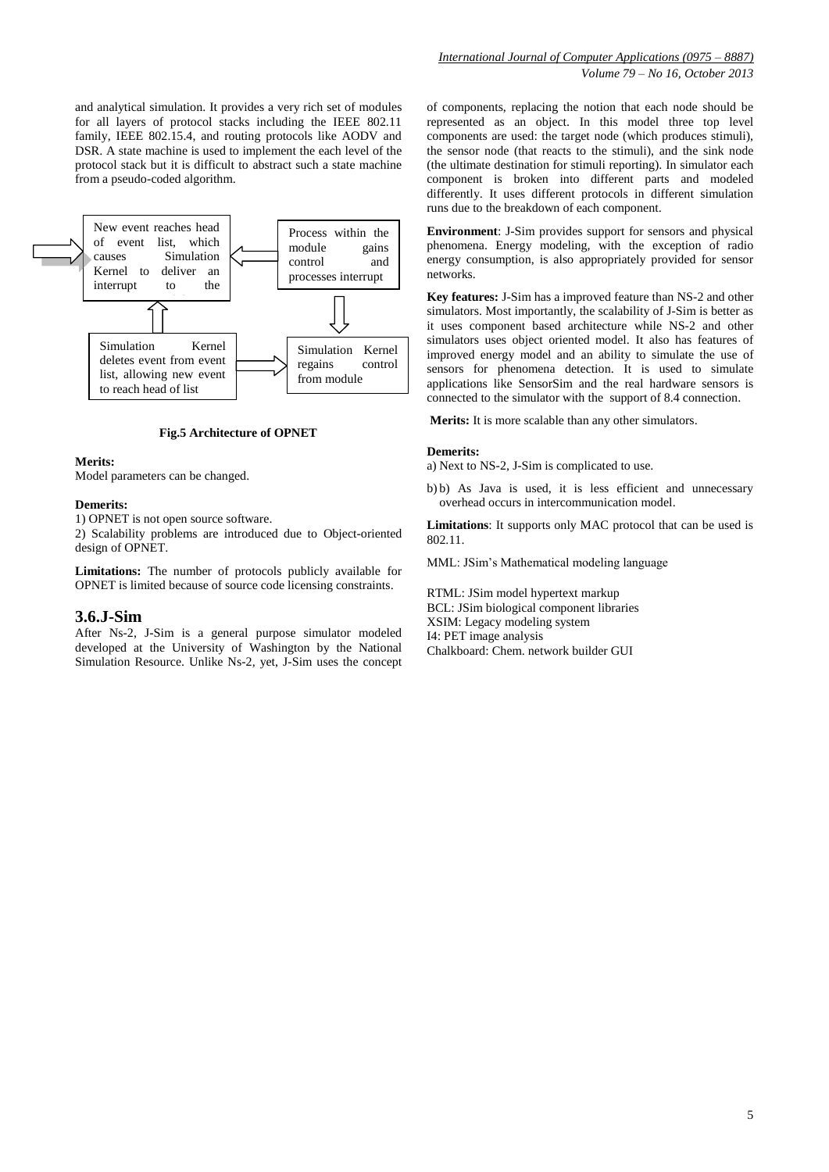and analytical simulation. It provides a very rich set of modules for all layers of protocol stacks including the IEEE 802.11 family, IEEE 802.15.4, and routing protocols like AODV and DSR. A state machine is used to implement the each level of the protocol stack but it is difficult to abstract such a state machine from a pseudo-coded algorithm.



#### **Fig.5 Architecture of OPNET**

#### **Merits:**

Model parameters can be changed.

#### **Demerits:**

1) OPNET is not open source software.

2) Scalability problems are introduced due to Object-oriented design of OPNET.

**Limitations:** The number of protocols publicly available for OPNET is limited because of source code licensing constraints.

## **3.6.J-Sim**

After Ns-2, J-Sim is a general purpose simulator modeled developed at the University of Washington by the National Simulation Resource. Unlike Ns-2, yet, J-Sim uses the concept

of components, replacing the notion that each node should be represented as an object. In this model three top level components are used: the target node (which produces stimuli), the sensor node (that reacts to the stimuli), and the sink node (the ultimate destination for stimuli reporting). In simulator each component is broken into different parts and modeled differently. It uses different protocols in different simulation runs due to the breakdown of each component.

**Environment**: J-Sim provides support for sensors and physical phenomena. Energy modeling, with the exception of radio energy consumption, is also appropriately provided for sensor networks.

**Key features:** J-Sim has a improved feature than NS-2 and other simulators. Most importantly, the scalability of J-Sim is better as it uses component based architecture while NS-2 and other simulators uses object oriented model. It also has features of improved energy model and an ability to simulate the use of sensors for phenomena detection. It is used to simulate applications like SensorSim and the real hardware sensors is connected to the simulator with the support of 8.4 connection.

**Merits:** It is more scalable than any other simulators.

#### **Demerits:**

a) Next to NS-2, J-Sim is complicated to use.

b) b) As Java is used, it is less efficient and unnecessary overhead occurs in intercommunication model.

**Limitations**: It supports only MAC protocol that can be used is 802.11.

MML: JSim's Mathematical modeling language

RTML: JSim model hypertext markup BCL: JSim biological component libraries XSIM: Legacy modeling system I4: PET image analysis Chalkboard: Chem. network builder GUI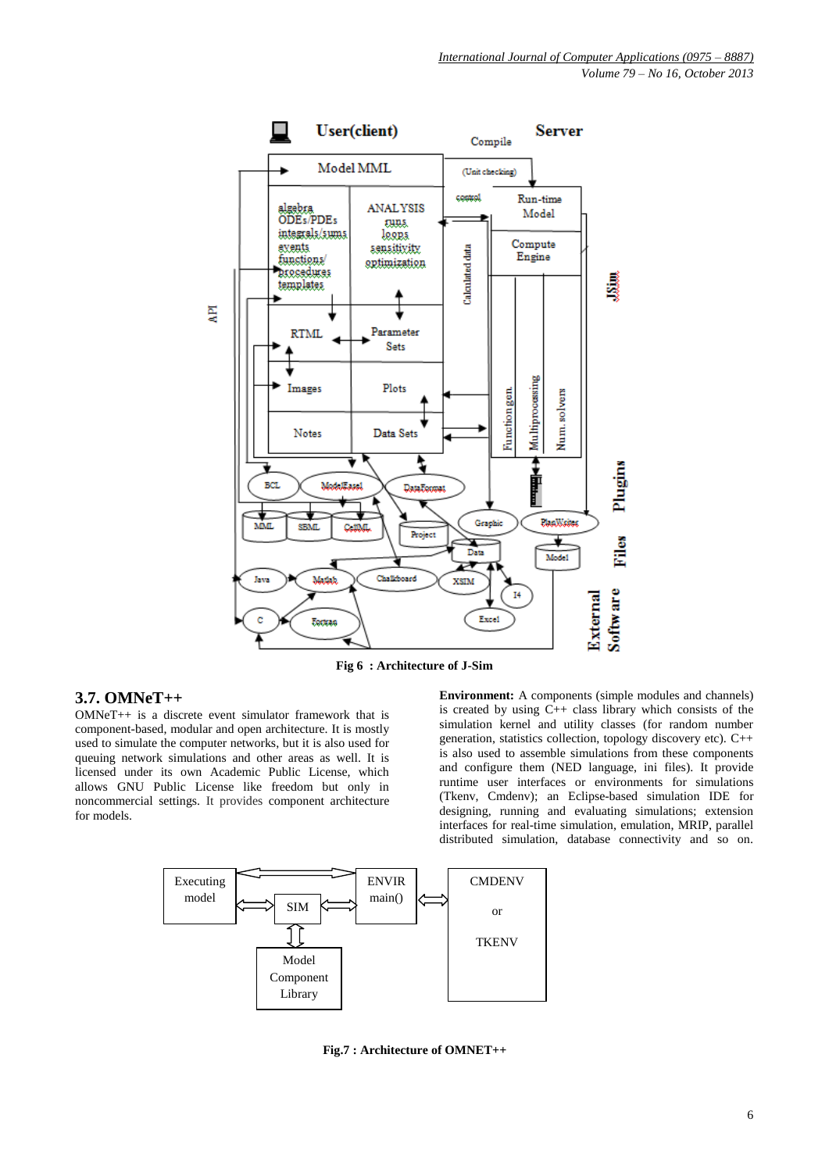

**Fig 6 : Architecture of J-Sim**

# **3.7. OMNeT++**

OMNeT++ is a discrete event simulator framework that is component-based, modular and open architecture. It is mostly used to simulate the computer networks, but it is also used for queuing network simulations and other areas as well. It is licensed under its own Academic Public License, which allows GNU Public License like freedom but only in noncommercial settings. It provides component architecture for models.

**Environment:** A components (simple modules and channels) is created by using  $C_{++}$  class library which consists of the simulation kernel and utility classes (for random number generation, statistics collection, topology discovery etc). C++ is also used to assemble simulations from these components and configure them (NED language, ini files). It provide runtime user interfaces or environments for simulations (Tkenv, Cmdenv); an Eclipse-based simulation IDE for designing, running and evaluating simulations; extension interfaces for real-time simulation, emulation, MRIP, parallel distributed simulation, database connectivity and so on.



**Fig.7 : Architecture of OMNET++**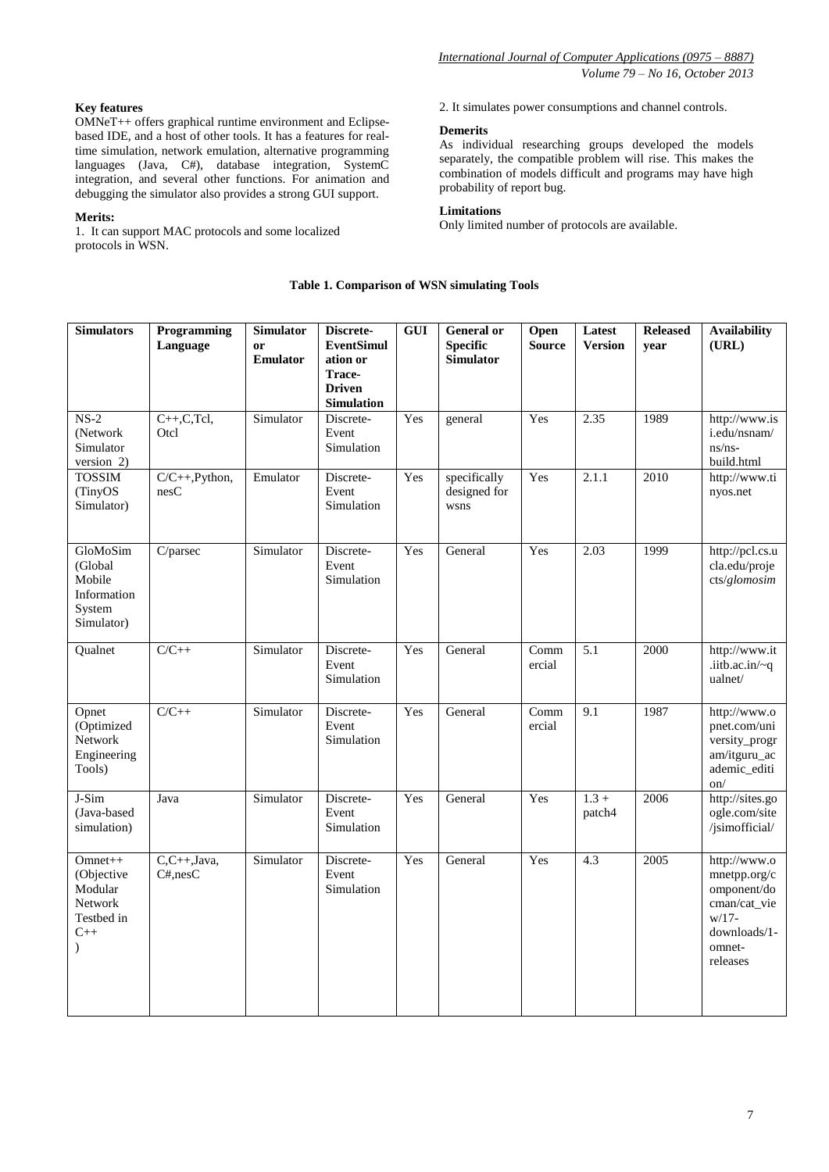## **Key features**

OMNeT++ offers graphical runtime environment and Eclipsebased IDE, and a host of other tools. It has a features for realtime simulation, network emulation, alternative programming languages (Java, C#), database integration, SystemC integration, and several other functions. For animation and debugging the simulator also provides a strong GUI support.

## **Merits:**

1. It can support MAC protocols and some localized protocols in WSN.

2. It simulates power consumptions and channel controls.

## **Demerits**

As individual researching groups developed the models separately, the compatible problem will rise. This makes the combination of models difficult and programs may have high probability of report bug.

## **Limitations**

Only limited number of protocols are available.

# **Table 1. Comparison of WSN simulating Tools**

| <b>Simulators</b>                                                                     | Programming<br>Language     | <b>Simulator</b><br><b>or</b><br>Emulator | Discrete-<br><b>EventSimul</b><br>ation or<br>Trace-<br><b>Driven</b><br><b>Simulation</b> | <b>GUI</b> | <b>General</b> or<br><b>Specific</b><br><b>Simulator</b> | Open<br><b>Source</b> | Latest<br><b>Version</b> | <b>Released</b><br>year | <b>Availability</b><br>(URL)                                                                                  |
|---------------------------------------------------------------------------------------|-----------------------------|-------------------------------------------|--------------------------------------------------------------------------------------------|------------|----------------------------------------------------------|-----------------------|--------------------------|-------------------------|---------------------------------------------------------------------------------------------------------------|
| $NS-2$<br>(Network<br>Simulator<br>version 2)                                         | $C++, C, Tcl,$<br>Otcl      | Simulator                                 | Discrete-<br>Event<br>Simulation                                                           | Yes        | general                                                  | Yes                   | 2.35                     | 1989                    | http://www.is<br>i.edu/nsnam/<br>$ns/ns-$<br>build.html                                                       |
| <b>TOSSIM</b><br>(TinyOS<br>Simulator)                                                | $C/C++, Python,$<br>nesC    | Emulator                                  | Discrete-<br>Event<br>Simulation                                                           | Yes        | specifically<br>designed for<br>wsns                     | Yes                   | 2.1.1                    | 2010                    | http://www.ti<br>nyos.net                                                                                     |
| GloMoSim<br>(Global<br>Mobile<br>Information<br>System<br>Simulator)                  | C/parsec                    | Simulator                                 | Discrete-<br>Event<br>Simulation                                                           | Yes        | General                                                  | Yes                   | 2.03                     | 1999                    | http://pcl.cs.u<br>cla.edu/proje<br>cts/glomosim                                                              |
| Qualnet                                                                               | $C/C++$                     | Simulator                                 | Discrete-<br>Event<br>Simulation                                                           | Yes        | General                                                  | Comm<br>ercial        | $\overline{5.1}$         | 2000                    | http://www.it<br>.iitb.ac.in/ $\sim q$<br>ualnet/                                                             |
| Opnet<br>(Optimized<br>Network<br>Engineering<br>Tools)                               | $C/C++$                     | Simulator                                 | Discrete-<br>Event<br>Simulation                                                           | Yes        | General                                                  | Comm<br>ercial        | 9.1                      | 1987                    | http://www.o<br>pnet.com/uni<br>versity_progr<br>am/itguru_ac<br>ademic_editi<br>on/                          |
| J-Sim<br>(Java-based<br>simulation)                                                   | Java                        | Simulator                                 | Discrete-<br>Event<br>Simulation                                                           | Yes        | General                                                  | Yes                   | $1.3 +$<br>patch4        | 2006                    | http://sites.go<br>ogle.com/site<br>/jsimofficial/                                                            |
| $Omnet++$<br>(Objective<br>Modular<br>Network<br>Testbed in<br>$C++$<br>$\mathcal{E}$ | $C, C++, Java,$<br>C#, nesC | Simulator                                 | Discrete-<br>Event<br>Simulation                                                           | Yes        | General                                                  | Yes                   | 4.3                      | 2005                    | http://www.o<br>mnetpp.org/c<br>omponent/do<br>cman/cat_vie<br>$w/17 -$<br>downloads/1-<br>omnet-<br>releases |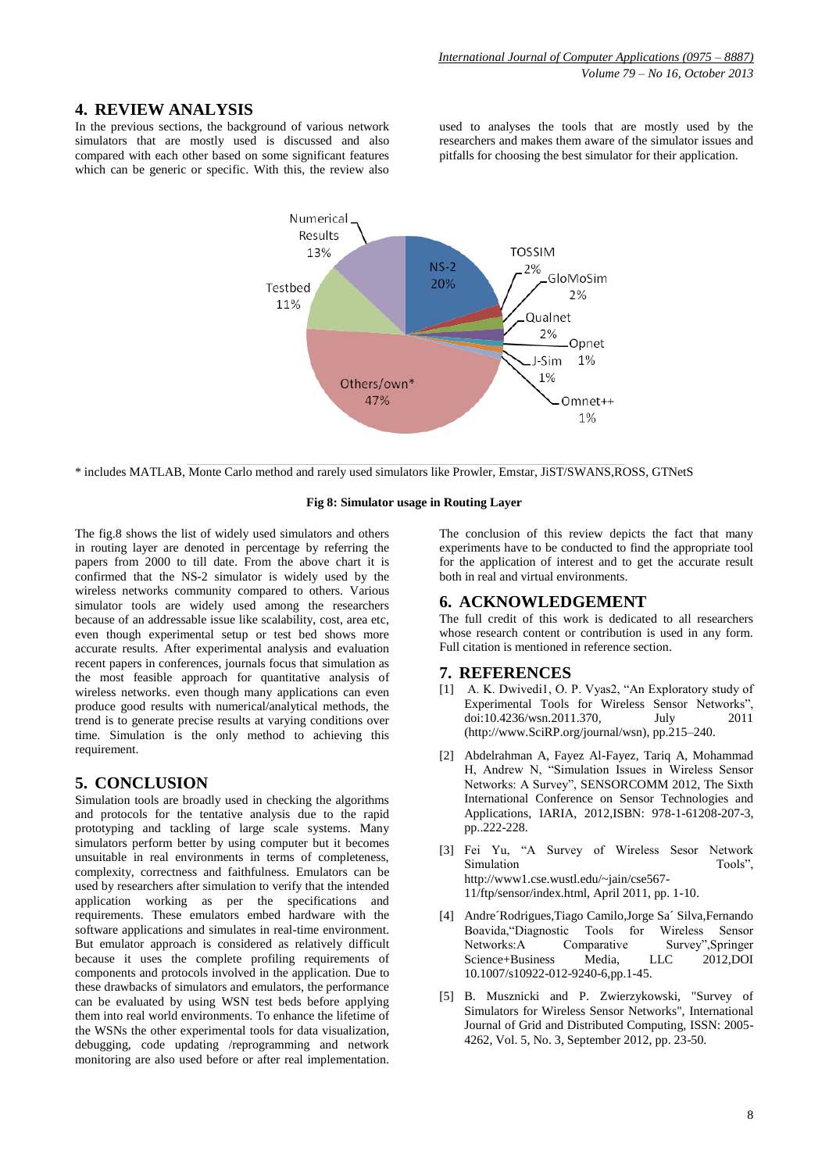# **4. REVIEW ANALYSIS**

In the previous sections, the background of various network simulators that are mostly used is discussed and also compared with each other based on some significant features which can be generic or specific. With this, the review also

used to analyses the tools that are mostly used by the researchers and makes them aware of the simulator issues and pitfalls for choosing the best simulator for their application.



\* includes MATLAB, Monte Carlo method and rarely used simulators like Prowler, Emstar, JiST/SWANS,ROSS, GTNetS

#### **Fig 8: Simulator usage in Routing Layer**

The fig.8 shows the list of widely used simulators and others in routing layer are denoted in percentage by referring the papers from 2000 to till date. From the above chart it is confirmed that the NS-2 simulator is widely used by the wireless networks community compared to others. Various simulator tools are widely used among the researchers because of an addressable issue like scalability, cost, area etc, even though experimental setup or test bed shows more accurate results. After experimental analysis and evaluation recent papers in conferences, journals focus that simulation as the most feasible approach for quantitative analysis of wireless networks. even though many applications can even produce good results with numerical/analytical methods, the trend is to generate precise results at varying conditions over time. Simulation is the only method to achieving this requirement.

## **5. CONCLUSION**

Simulation tools are broadly used in checking the algorithms and protocols for the tentative analysis due to the rapid prototyping and tackling of large scale systems. Many simulators perform better by using computer but it becomes unsuitable in real environments in terms of completeness, complexity, correctness and faithfulness. Emulators can be used by researchers after simulation to verify that the intended application working as per the specifications and requirements. These emulators embed hardware with the software applications and simulates in real-time environment. But emulator approach is considered as relatively difficult because it uses the complete profiling requirements of components and protocols involved in the application. Due to these drawbacks of simulators and emulators, the performance can be evaluated by using WSN test beds before applying them into real world environments. To enhance the lifetime of the WSNs the other experimental tools for data visualization, debugging, code updating /reprogramming and network monitoring are also used before or after real implementation.

The conclusion of this review depicts the fact that many experiments have to be conducted to find the appropriate tool for the application of interest and to get the accurate result both in real and virtual environments.

# **6. ACKNOWLEDGEMENT**

The full credit of this work is dedicated to all researchers whose research content or contribution is used in any form. Full citation is mentioned in reference section.

## **7. REFERENCES**

- [1] A. K. Dwivedi1, O. P. Vyas2, "An Exploratory study of Experimental Tools for Wireless Sensor Networks", doi:10.4236/wsn.2011.370, July 2011 (http://www.SciRP.org/journal/wsn), pp.215–240.
- [2] Abdelrahman A, Fayez Al-Fayez, Tariq A, Mohammad H, Andrew N, "Simulation Issues in Wireless Sensor Networks: A Survey", SENSORCOMM 2012, The Sixth International Conference on Sensor Technologies and Applications, IARIA, 2012,ISBN: 978-1-61208-207-3, pp..222-228.
- [3] Fei Yu, "A Survey of Wireless Sesor Network Simulation http://www1.cse.wustl.edu/~jain/cse567- 11/ftp/sensor/index.html, April 2011, pp. 1-10.
- [4] Andre´Rodrigues,Tiago Camilo,Jorge Sa´ Silva,Fernando Boavida,"Diagnostic Tools for Wireless Sensor Networks:A Comparative Survey",Springer Science+Business Media, LLC 2012,DOI 10.1007/s10922-012-9240-6,pp.1-45.
- [5] B. Musznicki and P. Zwierzykowski, "Survey of Simulators for Wireless Sensor Networks", International Journal of Grid and Distributed Computing, ISSN: 2005- 4262, Vol. 5, No. 3, September 2012, pp. 23-50.